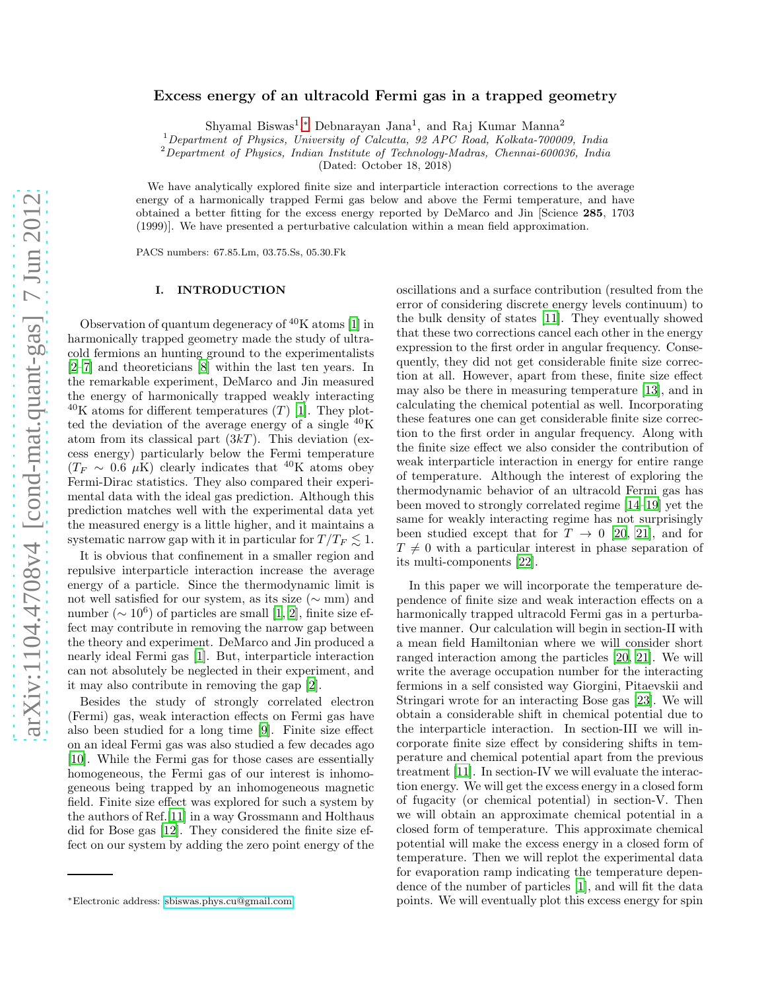# Excess energy of an ultracold Fermi gas in a trapped geometry

Shyamal Biswas<sup>1</sup>,\* Debnarayan Jana<sup>1</sup>, and Raj Kumar Manna<sup>2</sup>

<sup>1</sup>Department of Physics, University of Calcutta, 92 APC Road, Kolkata-700009, India

 ${}^{2}$ Department of Physics, Indian Institute of Technology-Madras, Chennai-600036, India

(Dated: October 18, 2018)

We have analytically explored finite size and interparticle interaction corrections to the average energy of a harmonically trapped Fermi gas below and above the Fermi temperature, and have obtained a better fitting for the excess energy reported by DeMarco and Jin [Science 285, 1703 (1999)]. We have presented a perturbative calculation within a mean field approximation.

PACS numbers: 67.85.Lm, 03.75.Ss, 05.30.Fk

### I. INTRODUCTION

Observation of quantum degeneracy of  $40K$  atoms [\[1\]](#page-6-0) in harmonically trapped geometry made the study of ultracold fermions an hunting ground to the experimentalists [\[2](#page-6-1)[–7\]](#page-7-0) and theoreticians [\[8](#page-7-1)] within the last ten years. In the remarkable experiment, DeMarco and Jin measured the energy of harmonically trapped weakly interacting  $^{40}$ K atoms for different temperatures (T) [\[1](#page-6-0)]. They plotted the deviation of the average energy of a single  ${}^{40}$ K atom from its classical part  $(3kT)$ . This deviation (excess energy) particularly below the Fermi temperature  $(T_F \sim 0.6 \mu K)$  clearly indicates that <sup>40</sup>K atoms obey Fermi-Dirac statistics. They also compared their experimental data with the ideal gas prediction. Although this prediction matches well with the experimental data yet the measured energy is a little higher, and it maintains a systematic narrow gap with it in particular for  $T/T_F \lesssim 1$ .

It is obvious that confinement in a smaller region and repulsive interparticle interaction increase the average energy of a particle. Since the thermodynamic limit is not well satisfied for our system, as its size (∼ mm) and number ( $\sim 10^6$ ) of particles are small [\[1,](#page-6-0) [2](#page-6-1)], finite size effect may contribute in removing the narrow gap between the theory and experiment. DeMarco and Jin produced a nearly ideal Fermi gas [\[1](#page-6-0)]. But, interparticle interaction can not absolutely be neglected in their experiment, and it may also contribute in removing the gap [\[2\]](#page-6-1).

Besides the study of strongly correlated electron (Fermi) gas, weak interaction effects on Fermi gas have also been studied for a long time [\[9\]](#page-7-2). Finite size effect on an ideal Fermi gas was also studied a few decades ago [\[10\]](#page-7-3). While the Fermi gas for those cases are essentially homogeneous, the Fermi gas of our interest is inhomogeneous being trapped by an inhomogeneous magnetic field. Finite size effect was explored for such a system by the authors of Ref.[\[11\]](#page-7-4) in a way Grossmann and Holthaus did for Bose gas [\[12\]](#page-7-5). They considered the finite size effect on our system by adding the zero point energy of the

oscillations and a surface contribution (resulted from the error of considering discrete energy levels continuum) to the bulk density of states [\[11\]](#page-7-4). They eventually showed that these two corrections cancel each other in the energy expression to the first order in angular frequency. Consequently, they did not get considerable finite size correction at all. However, apart from these, finite size effect may also be there in measuring temperature [\[13\]](#page-7-6), and in calculating the chemical potential as well. Incorporating these features one can get considerable finite size correction to the first order in angular frequency. Along with the finite size effect we also consider the contribution of weak interparticle interaction in energy for entire range of temperature. Although the interest of exploring the thermodynamic behavior of an ultracold Fermi gas has been moved to strongly correlated regime [\[14](#page-7-7)[–19\]](#page-7-8) yet the same for weakly interacting regime has not surprisingly been studied except that for  $T \rightarrow 0$  [\[20](#page-7-9), [21\]](#page-7-10), and for  $T \neq 0$  with a particular interest in phase separation of its multi-components [\[22\]](#page-7-11).

In this paper we will incorporate the temperature dependence of finite size and weak interaction effects on a harmonically trapped ultracold Fermi gas in a perturbative manner. Our calculation will begin in section-II with a mean field Hamiltonian where we will consider short ranged interaction among the particles [\[20,](#page-7-9) [21\]](#page-7-10). We will write the average occupation number for the interacting fermions in a self consisted way Giorgini, Pitaevskii and Stringari wrote for an interacting Bose gas [\[23](#page-7-12)]. We will obtain a considerable shift in chemical potential due to the interparticle interaction. In section-III we will incorporate finite size effect by considering shifts in temperature and chemical potential apart from the previous treatment [\[11](#page-7-4)]. In section-IV we will evaluate the interaction energy. We will get the excess energy in a closed form of fugacity (or chemical potential) in section-V. Then we will obtain an approximate chemical potential in a closed form of temperature. This approximate chemical potential will make the excess energy in a closed form of temperature. Then we will replot the experimental data for evaporation ramp indicating the temperature dependence of the number of particles [\[1](#page-6-0)], and will fit the data points. We will eventually plot this excess energy for spin

<span id="page-0-0"></span><sup>∗</sup>Electronic address: [sbiswas.phys.cu@gmail.com](mailto:sbiswas.phys.cu@gmail.com)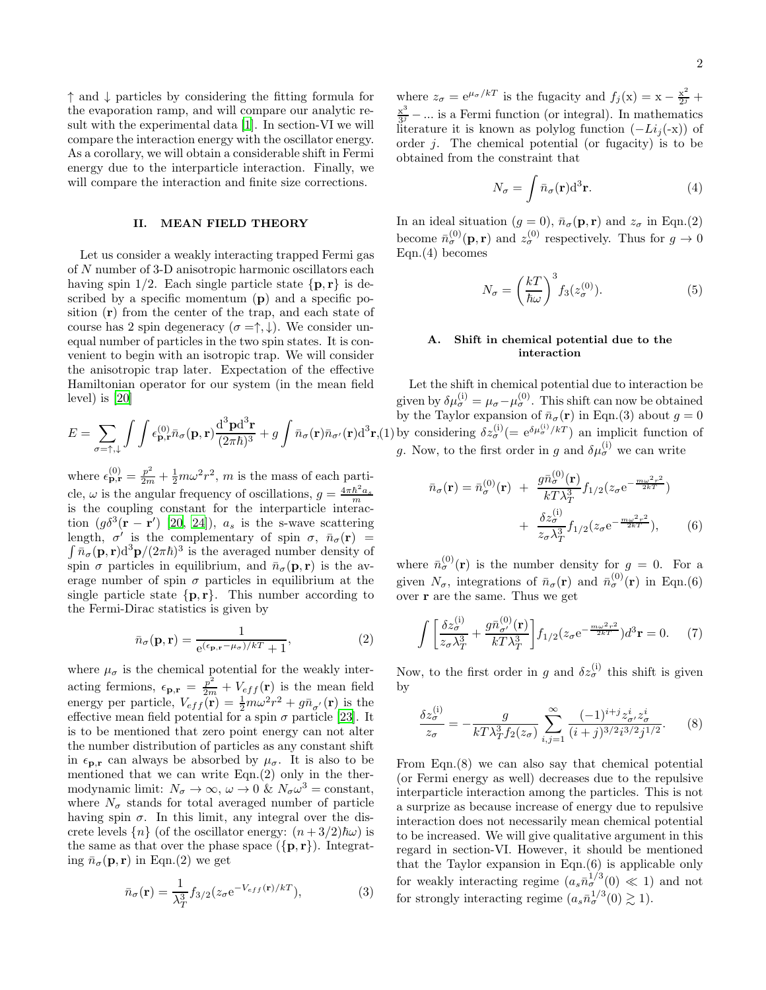↑ and ↓ particles by considering the fitting formula for the evaporation ramp, and will compare our analytic result with the experimental data [\[1\]](#page-6-0). In section-VI we will compare the interaction energy with the oscillator energy. As a corollary, we will obtain a considerable shift in Fermi energy due to the interparticle interaction. Finally, we will compare the interaction and finite size corrections.

#### II. MEAN FIELD THEORY

Let us consider a weakly interacting trapped Fermi gas of N number of 3-D anisotropic harmonic oscillators each having spin 1/2. Each single particle state  $\{p, r\}$  is described by a specific momentum  $(p)$  and a specific position (r) from the center of the trap, and each state of course has 2 spin degeneracy  $(\sigma = \uparrow, \downarrow)$ . We consider unequal number of particles in the two spin states. It is convenient to begin with an isotropic trap. We will consider the anisotropic trap later. Expectation of the effective Hamiltonian operator for our system (in the mean field level) is [\[20](#page-7-9)]

$$
E = \sum_{\sigma = \uparrow, \downarrow} \int \int \epsilon_{\mathbf{p}, \mathbf{r}}^{(0)} \bar{n}_{\sigma}(\mathbf{p}, \mathbf{r}) \frac{d^3 \mathbf{p} d^3 \mathbf{r}}{(2\pi \hbar)^3} + g \int \bar{n}_{\sigma}(\mathbf{r}) \bar{n}_{\sigma'}(\mathbf{r}) d^3 \mathbf{r},
$$

where  $\epsilon_{\mathbf{p},\mathbf{r}}^{(0)} = \frac{p^2}{2m} + \frac{1}{2}m\omega^2 r^2$ , m is the mass of each particle,  $\omega$  is the angular frequency of oscillations,  $g = \frac{4\pi\hbar^2 a_s}{m}$ is the coupling constant for the interparticle interaction  $(g\delta^3(\mathbf{r}-\mathbf{r}')$  [\[20](#page-7-9), [24\]](#page-7-13)),  $a_s$  is the s-wave scattering length,  $\sigma'$  is the complementary of spin  $\sigma$ ,  $\bar{n}_{\sigma}(\mathbf{r})$  =  $\int \bar{n}_{\sigma}(\mathbf{p}, \mathbf{r}) d^3 \mathbf{p} / (2\pi \hbar)^3$  is the averaged number density of spin  $\sigma$  particles in equilibrium, and  $\bar{n}_{\sigma}(\mathbf{p}, \mathbf{r})$  is the average number of spin  $\sigma$  particles in equilibrium at the single particle state  $\{p, r\}$ . This number according to the Fermi-Dirac statistics is given by

$$
\bar{n}_{\sigma}(\mathbf{p}, \mathbf{r}) = \frac{1}{e^{(\epsilon_{\mathbf{p}, \mathbf{r}} - \mu_{\sigma})/k} + 1},\tag{2}
$$

where  $\mu_{\sigma}$  is the chemical potential for the weakly interacting fermions,  $\epsilon_{\mathbf{p},\mathbf{r}} = \frac{p^2}{2m} + V_{eff}(\mathbf{r})$  is the mean field energy per particle,  $V_{eff}(\mathbf{r}) = \frac{1}{2}m\omega^2 r^2 + g\bar{n}_{\sigma'}(\mathbf{r})$  is the effective mean field potential for a spin  $\sigma$  particle [\[23\]](#page-7-12). It is to be mentioned that zero point energy can not alter the number distribution of particles as any constant shift in  $\epsilon_{\mathbf{p},\mathbf{r}}$  can always be absorbed by  $\mu_{\sigma}$ . It is also to be mentioned that we can write Eqn.(2) only in the thermodynamic limit:  $N_{\sigma} \to \infty$ ,  $\omega \to 0$  &  $N_{\sigma} \omega^3 = \text{constant}$ , where  $N_{\sigma}$  stands for total averaged number of particle having spin  $\sigma$ . In this limit, any integral over the discrete levels  $\{n\}$  (of the oscillator energy:  $(n+3/2)\hbar\omega$ ) is the same as that over the phase space  $({\bf p}, {\bf r})$ . Integrating  $\bar{n}_{\sigma}(\mathbf{p}, \mathbf{r})$  in Eqn.(2) we get

$$
\bar{n}_{\sigma}(\mathbf{r}) = \frac{1}{\lambda_T^3} f_{3/2} (z_{\sigma} e^{-V_{eff}(\mathbf{r})/kT}), \tag{3}
$$

where  $z_{\sigma} = e^{\mu_{\sigma}/kT}$  is the fugacity and  $f_j(x) = x - \frac{x^2}{2^j} +$  $x^3$  $\frac{x^3}{3^j}$  – ... is a Fermi function (or integral). In mathematics literature it is known as polylog function  $(-Li_j(-x))$  of order  $j$ . The chemical potential (or fugacity) is to be obtained from the constraint that

$$
N_{\sigma} = \int \bar{n}_{\sigma}(\mathbf{r}) d^{3} \mathbf{r}.
$$
 (4)

In an ideal situation  $(g = 0)$ ,  $\bar{n}_{\sigma}(\mathbf{p}, \mathbf{r})$  and  $z_{\sigma}$  in Eqn.(2) become  $\bar{n}_{\sigma}^{(0)}(\mathbf{p}, \mathbf{r})$  and  $z_{\sigma}^{(0)}$  respectively. Thus for  $g \to 0$ Eqn.(4) becomes

$$
N_{\sigma} = \left(\frac{kT}{\hbar\omega}\right)^3 f_3(z_{\sigma}^{(0)}).
$$
 (5)

### A. Shift in chemical potential due to the interaction

 $\mathbf{r}(1)$  by considering  $\delta z_{\sigma}^{(i)}(=\mathrm{e}^{\delta \mu_{\sigma}^{(i)}/kT})$  an implicit function of Let the shift in chemical potential due to interaction be given by  $\delta \mu_{\sigma}^{(i)} = \mu_{\sigma} - \mu_{\sigma}^{(0)}$ . This shift can now be obtained by the Taylor expansion of  $\bar{n}_{\sigma}(\mathbf{r})$  in Eqn.(3) about  $g = 0$ g. Now, to the first order in g and  $\delta \mu_{\sigma}^{(i)}$  we can write

$$
\bar{n}_{\sigma}(\mathbf{r}) = \bar{n}_{\sigma}^{(0)}(\mathbf{r}) + \frac{g\bar{n}_{\sigma}^{(0)}(\mathbf{r})}{kT\lambda_{T}^{3}} f_{1/2}(z_{\sigma}e^{-\frac{m\omega^{2}r^{2}}{2kT}}) + \frac{\delta z_{\sigma}^{(i)}}{z_{\sigma}\lambda_{T}^{3}} f_{1/2}(z_{\sigma}e^{-\frac{m\omega^{2}r^{2}}{2kT}}),
$$
\n(6)

where  $\bar{n}_{\sigma}^{(0)}(\mathbf{r})$  is the number density for  $g = 0$ . For a given  $N_{\sigma}$ , integrations of  $\bar{n}_{\sigma}(\mathbf{r})$  and  $\bar{n}_{\sigma}^{(0)}(\mathbf{r})$  in Eqn.(6) over r are the same. Thus we get

$$
\int \left[ \frac{\delta z_{\sigma}^{(i)}}{z_{\sigma} \lambda_T^3} + \frac{g \bar{n}_{\sigma'}^{(0)}(\mathbf{r})}{kT \lambda_T^3} \right] f_{1/2} (z_{\sigma} e^{-\frac{m \omega^2 r^2}{2kT}}) d^3 \mathbf{r} = 0. \tag{7}
$$

Now, to the first order in g and  $\delta z_{\sigma}^{(i)}$  this shift is given by

$$
\frac{\delta z_{\sigma}^{(i)}}{z_{\sigma}} = -\frac{g}{kT\lambda_T^3 f_2(z_{\sigma})} \sum_{i,j=1}^{\infty} \frac{(-1)^{i+j} z_{\sigma}^i z_{\sigma}^i}{(i+j)^{3/2} i^{3/2} j^{1/2}}.
$$
 (8)

From Eqn.(8) we can also say that chemical potential (or Fermi energy as well) decreases due to the repulsive interparticle interaction among the particles. This is not a surprize as because increase of energy due to repulsive interaction does not necessarily mean chemical potential to be increased. We will give qualitative argument in this regard in section-VI. However, it should be mentioned that the Taylor expansion in Eqn.(6) is applicable only for weakly interacting regime  $(a_s \bar{n}_{\sigma}^{1/3}(0) \ll 1)$  and not for strongly interacting regime  $(a_s \bar{n}_{\sigma}^{1/3}(0) \gtrsim 1)$ .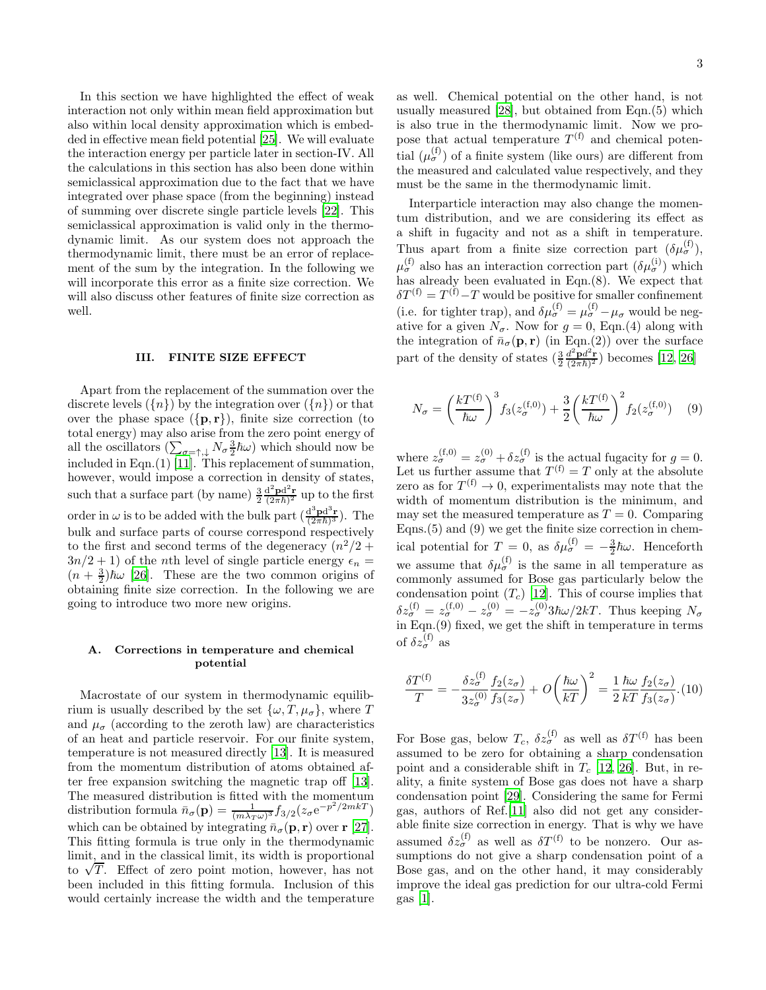In this section we have highlighted the effect of weak interaction not only within mean field approximation but also within local density approximation which is embedded in effective mean field potential [\[25\]](#page-7-14). We will evaluate the interaction energy per particle later in section-IV. All the calculations in this section has also been done within semiclassical approximation due to the fact that we have integrated over phase space (from the beginning) instead of summing over discrete single particle levels [\[22\]](#page-7-11). This semiclassical approximation is valid only in the thermodynamic limit. As our system does not approach the thermodynamic limit, there must be an error of replacement of the sum by the integration. In the following we will incorporate this error as a finite size correction. We will also discuss other features of finite size correction as well.

#### III. FINITE SIZE EFFECT

Apart from the replacement of the summation over the discrete levels  $({n})$  by the integration over  $({n})$  or that over the phase space  $({\bf{p}, \bf{r}})$ , finite size correction (to total energy) may also arise from the zero point energy of all the oscillators  $(\sum_{\sigma=\uparrow,\downarrow} N_{\sigma} \frac{3}{2} \hbar \omega)$  which should now be included in Eqn.(1) [\[11\]](#page-7-4). This replacement of summation, however, would impose a correction in density of states, such that a surface part (by name)  $\frac{3}{2} \frac{d^2 \mathbf{p} d^2 \mathbf{r}}{(2\pi \hbar)^2}$  up to the first order in  $\omega$  is to be added with the bulk part  $\left(\frac{d^3 \mathbf{p} d^3 \mathbf{r}}{(2\pi \hbar)^3}\right)$ . The bulk and surface parts of course correspond respectively to the first and second terms of the degeneracy  $(n^2/2 +$  $3n/2+1$ ) of the *n*th level of single particle energy  $\epsilon_n =$  $(n+\frac{3}{2})\hbar\omega$  [\[26\]](#page-7-15). These are the two common origins of obtaining finite size correction. In the following we are going to introduce two more new origins.

### A. Corrections in temperature and chemical potential

Macrostate of our system in thermodynamic equilibrium is usually described by the set  $\{\omega, T, \mu_{\sigma}\}\)$ , where T and  $\mu_{\sigma}$  (according to the zeroth law) are characteristics of an heat and particle reservoir. For our finite system, temperature is not measured directly [\[13\]](#page-7-6). It is measured from the momentum distribution of atoms obtained after free expansion switching the magnetic trap off [\[13\]](#page-7-6). The measured distribution is fitted with the momentum distribution formula  $\bar{n}_{\sigma}(\mathbf{p}) = \frac{1}{(m\lambda_T\omega)^3} f_{3/2}(z_{\sigma}e^{-p^2/2mkT})$ which can be obtained by integrating  $\bar{n}_{\sigma}(\mathbf{p}, \mathbf{r})$  over  $\mathbf{r}$  [\[27\]](#page-7-16). This fitting formula is true only in the thermodynamic limit, and in the classical limit, its width is proportional to  $\sqrt{T}$ . Effect of zero point motion, however, has not been included in this fitting formula. Inclusion of this would certainly increase the width and the temperature

as well. Chemical potential on the other hand, is not usually measured [\[28](#page-7-17)], but obtained from Eqn.(5) which is also true in the thermodynamic limit. Now we propose that actual temperature  $T^{(f)}$  and chemical potential  $(\mu_{\sigma}^{(f)})$  of a finite system (like ours) are different from the measured and calculated value respectively, and they must be the same in the thermodynamic limit.

Interparticle interaction may also change the momentum distribution, and we are considering its effect as a shift in fugacity and not as a shift in temperature. Thus apart from a finite size correction part  $(\delta \mu_{\sigma}^{(f)})$ ,  $\mu_{\sigma}^{(\text{f})}$  also has an interaction correction part  $(\delta \mu_{\sigma}^{(\text{i})})$  which has already been evaluated in Eqn.(8). We expect that  $\delta T^{(f)} = T^{(f)} - T$  would be positive for smaller confinement (i.e. for tighter trap), and  $\delta \mu_{\sigma}^{(f)} = \mu_{\sigma}^{(f)} - \mu_{\sigma}$  would be negative for a given  $N_{\sigma}$ . Now for  $g = 0$ , Eqn.(4) along with the integration of  $\bar{n}_{\sigma}(\mathbf{p}, \mathbf{r})$  (in Eqn.(2)) over the surface part of the density of states  $(\frac{3}{2} \frac{d^2 \mathbf{p} d^2 \mathbf{r}}{(2\pi \hbar)^2})$  becomes [\[12](#page-7-5), [26](#page-7-15)]

$$
N_{\sigma} = \left(\frac{kT^{(\text{f})}}{\hbar\omega}\right)^3 f_3(z_{\sigma}^{(\text{f},0)}) + \frac{3}{2} \left(\frac{kT^{(\text{f})}}{\hbar\omega}\right)^2 f_2(z_{\sigma}^{(\text{f},0)}) \quad (9)
$$

where  $z_{\sigma}^{(f,0)} = z_{\sigma}^{(0)} + \delta z_{\sigma}^{(f)}$  is the actual fugacity for  $g = 0$ . Let us further assume that  $T^{(f)} = T$  only at the absolute zero as for  $T^{(f)} \to 0$ , experimentalists may note that the width of momentum distribution is the minimum, and may set the measured temperature as  $T = 0$ . Comparing Eqns.(5) and (9) we get the finite size correction in chemical potential for  $T=0$ , as  $\delta \mu_{\sigma}^{(f)} = -\frac{3}{2}\hbar \omega$ . Henceforth we assume that  $\delta \mu_{\sigma}^{(f)}$  is the same in all temperature as commonly assumed for Bose gas particularly below the condensation point  $(T_c)$  [\[12](#page-7-5)]. This of course implies that  $\delta z_{\sigma}^{(\text{f})} = z_{\sigma}^{(\text{f},0)} - z_{\sigma}^{(0)} = -z_{\sigma}^{(0)} 3\hbar\omega/2kT$ . Thus keeping  $N_{\sigma}$ in Eqn.(9) fixed, we get the shift in temperature in terms of  $\delta z_{\sigma}^{(\text{f})}$  as

$$
\frac{\delta T^{(\text{f})}}{T} = -\frac{\delta z_{\sigma}^{(\text{f})}}{3z_{\sigma}^{(0)}} \frac{f_2(z_{\sigma})}{f_3(z_{\sigma})} + O\left(\frac{\hbar \omega}{kT}\right)^2 = \frac{1}{2} \frac{\hbar \omega}{kT} \frac{f_2(z_{\sigma})}{f_3(z_{\sigma})}.
$$
(10)

For Bose gas, below  $T_c$ ,  $\delta z_{\sigma}^{(f)}$  as well as  $\delta T^{(f)}$  has been assumed to be zero for obtaining a sharp condensation point and a considerable shift in  $T_c$  [\[12,](#page-7-5) [26](#page-7-15)]. But, in reality, a finite system of Bose gas does not have a sharp condensation point [\[29](#page-7-18)]. Considering the same for Fermi gas, authors of Ref.[\[11](#page-7-4)] also did not get any considerable finite size correction in energy. That is why we have assumed  $\delta z_{\sigma}^{(\text{f})}$  as well as  $\delta T^{(\text{f})}$  to be nonzero. Our assumptions do not give a sharp condensation point of a Bose gas, and on the other hand, it may considerably improve the ideal gas prediction for our ultra-cold Fermi gas [\[1](#page-6-0)].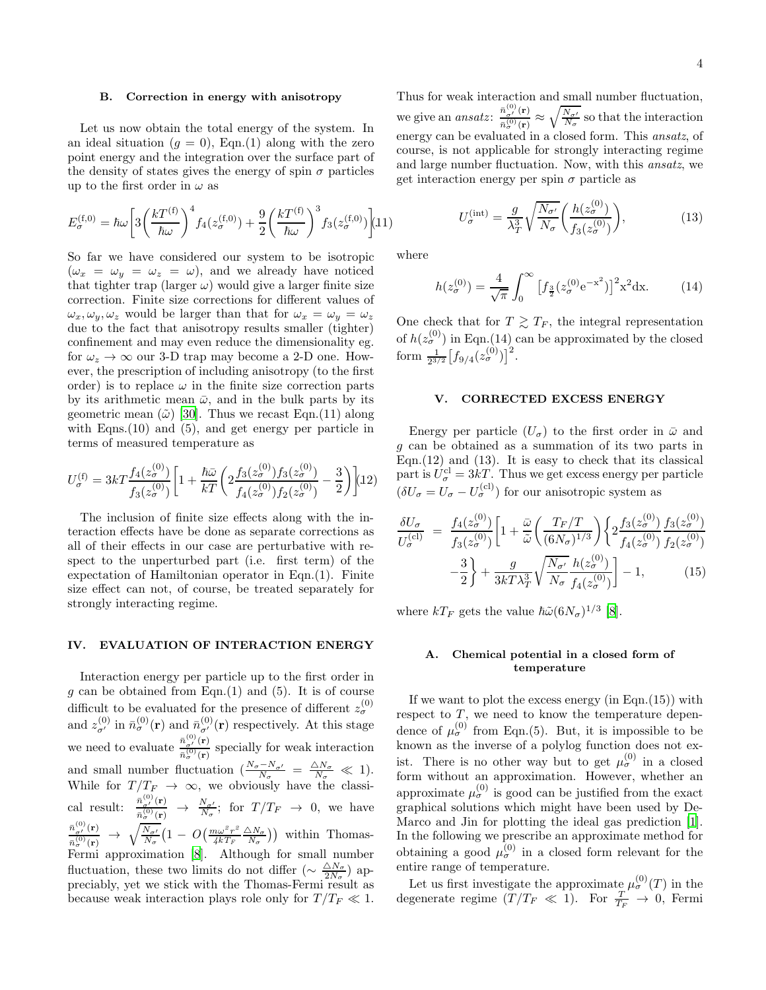### B. Correction in energy with anisotropy

Let us now obtain the total energy of the system. In an ideal situation  $(g = 0)$ , Eqn.(1) along with the zero point energy and the integration over the surface part of the density of states gives the energy of spin  $\sigma$  particles up to the first order in  $\omega$  as

$$
E_{\sigma}^{(\text{f},0)} = \hbar \omega \left[ 3 \left( \frac{k T^{(\text{f})}}{\hbar \omega} \right)^4 f_4(z_{\sigma}^{(\text{f},0)}) + \frac{9}{2} \left( \frac{k T^{(\text{f})}}{\hbar \omega} \right)^3 f_3(z_{\sigma}^{(\text{f},0)}) \right] (11)
$$

So far we have considered our system to be isotropic  $(\omega_x = \omega_y = \omega_z = \omega)$ , and we already have noticed that tighter trap (larger  $\omega$ ) would give a larger finite size correction. Finite size corrections for different values of  $\omega_x, \omega_y, \omega_z$  would be larger than that for  $\omega_x = \omega_y = \omega_z$ due to the fact that anisotropy results smaller (tighter) confinement and may even reduce the dimensionality eg. for  $\omega_z \rightarrow \infty$  our 3-D trap may become a 2-D one. However, the prescription of including anisotropy (to the first order) is to replace  $\omega$  in the finite size correction parts by its arithmetic mean  $\bar{\omega}$ , and in the bulk parts by its geometric mean  $(\tilde{\omega})$  [\[30](#page-7-19)]. Thus we recast Eqn.(11) along with Eqns. (10) and (5), and get energy per particle in terms of measured temperature as

$$
U_{\sigma}^{(\text{f})} = 3kT \frac{f_4(z_{\sigma}^{(0)})}{f_3(z_{\sigma}^{(0)})} \bigg[ 1 + \frac{\hbar \bar{\omega}}{kT} \bigg( 2 \frac{f_3(z_{\sigma}^{(0)}) f_3(z_{\sigma}^{(0)})}{f_4(z_{\sigma}^{(0)}) f_2(z_{\sigma}^{(0)})} - \frac{3}{2} \bigg) \bigg] (12)
$$

The inclusion of finite size effects along with the interaction effects have be done as separate corrections as all of their effects in our case are perturbative with respect to the unperturbed part (i.e. first term) of the expectation of Hamiltonian operator in Eqn.(1). Finite size effect can not, of course, be treated separately for strongly interacting regime.

### IV. EVALUATION OF INTERACTION ENERGY

Interaction energy per particle up to the first order in g can be obtained from Eqn.(1) and (5). It is of course difficult to be evaluated for the presence of different  $z_{\sigma}^{(0)}$ and  $z_{\sigma'}^{(0)}$  in  $\bar{n}_{\sigma}^{(0)}(\mathbf{r})$  and  $\bar{n}_{\sigma'}^{(0)}(\mathbf{r})$  respectively. At this stage we need to evaluate  $\frac{\bar{n}^{(0)}_{\sigma'}(\mathbf{r})}{\frac{(\sigma)}{(\sigma)}$  $\frac{n_{\sigma'}(x)}{\bar{n}_{\sigma}^{(0)}(r)}$  specially for weak interaction and small number fluctuation  $\left(\frac{N_{\sigma}-N_{\sigma'}}{N_{\sigma}}\right) = \frac{\Delta N_{\sigma}}{N_{\sigma}} \ll 1$ . While for  $T/T_F \rightarrow \infty$ , we obviously have the classical result:  $\frac{\bar{n}_{\sigma'}^{(0)}(\mathbf{r})}{\bar{n}_{\sigma(0)}^{(0)}(\sigma)}$  $\frac{\frac{\bar{n}_{\sigma'}(r)}{\sigma_o(r)}}{\bar{n}_{\sigma}^{(0)}(r)} \rightarrow \frac{N_{\sigma'}}{N_{\sigma}}$ ; for  $T/T_F \rightarrow 0$ , we have  $\bar{n}^{(0)}_{\sigma'}({\bf r})$  $\frac{\bar{n}^{(0)}_{\sigma'}({\bf r})}{\bar{n}^{(0)}_{\sigma}({\bf r})}~\rightarrow~\sqrt{\frac{N_{\sigma'}}{N_{\sigma}}}\big(1~-~O\big(\frac{m\omega^2r^2}{4kT_F}\big)$  $\frac{n\omega^2 r^2}{4kT_F} \frac{\triangle N_{\sigma}}{N_{\sigma}}$ ) within Thomas-Fermi approximation [\[8](#page-7-1)]. Although for small number fluctuation, these two limits do not differ  $\left(\sim \frac{\Delta N_{\sigma}}{2N_{\sigma}}\right)$  appreciably, yet we stick with the Thomas-Fermi result as because weak interaction plays role only for  $T/T_F \ll 1$ .

Thus for weak interaction and small number fluctuation, we give an *ansatz*:  $\frac{\bar{n}_{\sigma'}^{(0)}(\mathbf{r})}{\frac{1}{2}(\sigma)}$  $\frac{\bar{n}_{\sigma'}^{(0)}(\mathbf{r})}{\bar{n}_{\sigma}^{(0)}(\mathbf{r})} \approx \sqrt{\frac{N_{\sigma'}}{N_{\sigma}}}$  so that the interaction energy can be evaluated in a closed form. This *ansatz*, of course, is not applicable for strongly interacting regime and large number fluctuation. Now, with this ansatz, we get interaction energy per spin  $\sigma$  particle as

$$
U_{\sigma}^{(\text{int})} = \frac{g}{\lambda_T^3} \sqrt{\frac{N_{\sigma'}}{N_{\sigma}}} \left( \frac{h(z_{\sigma}^{(0)})}{f_3(z_{\sigma}^{(0)})} \right),\tag{13}
$$

where

$$
h(z_{\sigma}^{(0)}) = \frac{4}{\sqrt{\pi}} \int_0^{\infty} \left[ f_{\frac{3}{2}}(z_{\sigma}^{(0)} e^{-x^2}) \right]^2 x^2 dx.
$$
 (14)

One check that for  $T \geq T_F$ , the integral representation of  $h(z_{\sigma}^{(0)})$  in Eqn.(14) can be approximated by the closed form  $\frac{1}{2^{3/2}}\left[f_{9/4}(z_{\sigma}^{(0)})\right]^2$ .

### V. CORRECTED EXCESS ENERGY

Energy per particle  $(U_{\sigma})$  to the first order in  $\bar{\omega}$  and g can be obtained as a summation of its two parts in Eqn. $(12)$  and  $(13)$ . It is easy to check that its classical part is  $U_{\sigma}^{\text{cl}} = 3kT$ . Thus we get excess energy per particle  $(\delta U_{\sigma} = U_{\sigma} - U_{\sigma}^{(\text{cl})})$  for our anisotropic system as

$$
\frac{\delta U_{\sigma}}{U_{\sigma}^{(\text{cl})}} = \frac{f_4(z_{\sigma}^{(0)})}{f_3(z_{\sigma}^{(0)})} \left[ 1 + \frac{\bar{\omega}}{\tilde{\omega}} \left( \frac{T_F/T}{(6N_{\sigma})^{1/3}} \right) \left\{ 2 \frac{f_3(z_{\sigma}^{(0)})}{f_4(z_{\sigma}^{(0)})} \frac{f_3(z_{\sigma}^{(0)})}{f_2(z_{\sigma}^{(0)})} - \frac{3}{2} \right\} + \frac{g}{3kT\lambda_T^3} \sqrt{\frac{N_{\sigma'}}{N_{\sigma}}} \frac{h(z_{\sigma}^{(0)})}{f_4(z_{\sigma}^{(0)})} \right] - 1, \tag{15}
$$

where  $kT_F$  gets the value  $\hbar \tilde{\omega} (6N_{\sigma})^{1/3}$  [\[8](#page-7-1)].

#### A. Chemical potential in a closed form of temperature

If we want to plot the excess energy  $(in Eqn.(15))$  with respect to  $T$ , we need to know the temperature dependence of  $\mu_{\sigma}^{(0)}$  from Eqn.(5). But, it is impossible to be known as the inverse of a polylog function does not exist. There is no other way but to get  $\mu_{\sigma}^{(0)}$  in a closed form without an approximation. However, whether an approximate  $\mu_{\sigma}^{(0)}$  is good can be justified from the exact graphical solutions which might have been used by De-Marco and Jin for plotting the ideal gas prediction [\[1\]](#page-6-0). In the following we prescribe an approximate method for obtaining a good  $\mu_{\sigma}^{(0)}$  in a closed form relevant for the entire range of temperature.

Let us first investigate the approximate  $\mu_{\sigma}^{(0)}(T)$  in the degenerate regime  $(T/T_F \ll 1)$ . For  $\frac{T}{T_F} \to 0$ , Fermi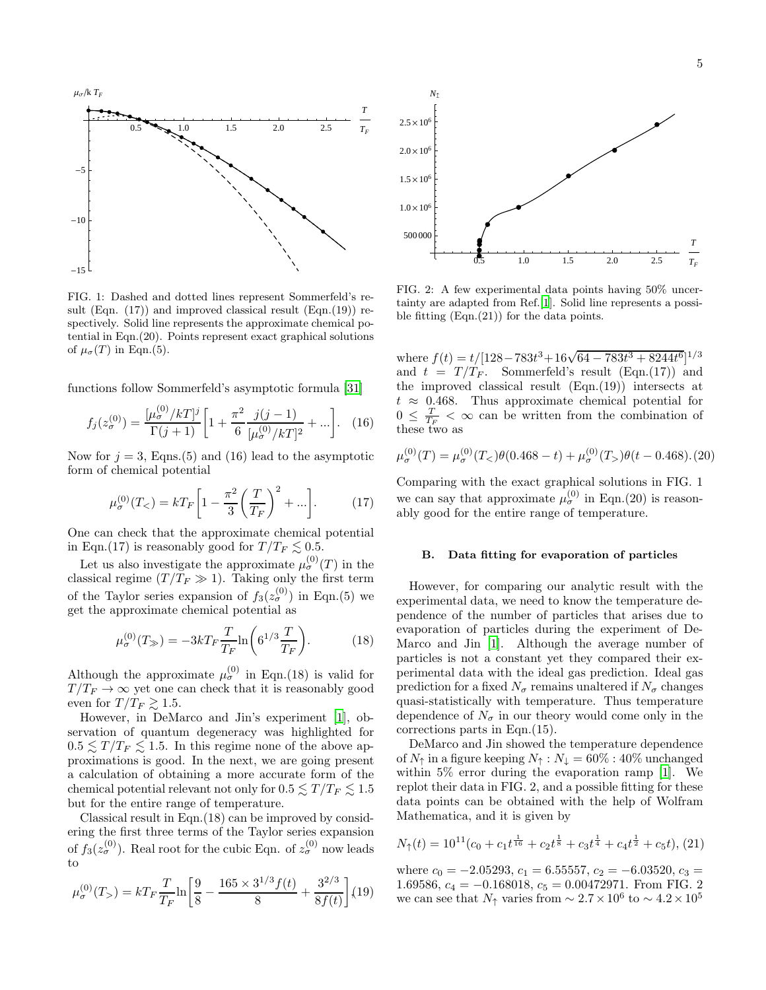

FIG. 1: Dashed and dotted lines represent Sommerfeld's result (Eqn.  $(17)$ ) and improved classical result (Eqn.  $(19)$ ) respectively. Solid line represents the approximate chemical potential in Eqn.(20). Points represent exact graphical solutions of  $\mu_{\sigma}(T)$  in Eqn.(5).

functions follow Sommerfeld's asymptotic formula [\[31\]](#page-7-20)

$$
f_j(z_{\sigma}^{(0)}) = \frac{[\mu_{\sigma}^{(0)}/kT]^j}{\Gamma(j+1)} \left[1 + \frac{\pi^2}{6} \frac{j(j-1)}{[\mu_{\sigma}^{(0)}/kT]^2} + \ldots \right]. \quad (16)
$$

Now for  $j = 3$ , Eqns.(5) and (16) lead to the asymptotic form of chemical potential

$$
\mu_{\sigma}^{(0)}(T_{<})=kT_F\bigg[1-\frac{\pi^2}{3}\bigg(\frac{T}{T_F}\bigg)^2+\ldots\bigg].\tag{17}
$$

One can check that the approximate chemical potential in Eqn.(17) is reasonably good for  $T/T_F \lesssim 0.5$ .

Let us also investigate the approximate  $\mu_{\sigma}^{(0)}(T)$  in the classical regime  $(T/T_F \gg 1)$ . Taking only the first term of the Taylor series expansion of  $f_3(z_{\sigma}^{(0)})$  in Eqn.(5) we get the approximate chemical potential as

$$
\mu_{\sigma}^{(0)}(T_{\gg}) = -3kT_F \frac{T}{T_F} \ln\left(6^{1/3} \frac{T}{T_F}\right). \tag{18}
$$

Although the approximate  $\mu_{\sigma}^{(0)}$  in Eqn.(18) is valid for  $T/T_F \rightarrow \infty$  yet one can check that it is reasonably good even for  $T/T_F \gtrsim 1.5$ .

However, in DeMarco and Jin's experiment [\[1](#page-6-0)], observation of quantum degeneracy was highlighted for  $0.5 \lesssim T/T_F \lesssim 1.5$ . In this regime none of the above approximations is good. In the next, we are going present a calculation of obtaining a more accurate form of the chemical potential relevant not only for  $0.5 \lesssim T/T_F \lesssim 1.5$ but for the entire range of temperature.

Classical result in Eqn.(18) can be improved by considering the first three terms of the Taylor series expansion of  $f_3(z_\sigma^{(0)})$ . Real root for the cubic Eqn. of  $z_\sigma^{(0)}$  now leads to

$$
\mu_{\sigma}^{(0)}(T_{>}) = kT_F \frac{T}{T_F} \ln \left[ \frac{9}{8} - \frac{165 \times 3^{1/3} f(t)}{8} + \frac{3^{2/3}}{8f(t)} \right] (19)
$$



FIG. 2: A few experimental data points having 50% uncertainty are adapted from Ref.[\[1](#page-6-0)]. Solid line represents a possible fitting (Eqn.(21)) for the data points.

where  $f(t) = t/[128 - 783t^3 + 16\sqrt{64 - 783t^3 + 8244t^6}]^{1/3}$ and  $t = T/T_F$ . Sommerfeld's result (Eqn.(17)) and the improved classical result  $(Eqn.(19))$  intersects at  $t \approx 0.468$ . Thus approximate chemical potential for  $0 \leq \frac{T}{T_F} < \infty$  can be written from the combination of these two as

$$
\mu_{\sigma}^{(0)}(T) = \mu_{\sigma}^{(0)}(T_<)\theta(0.468 - t) + \mu_{\sigma}^{(0)}(T_>)\theta(t - 0.468). (20)
$$

Comparing with the exact graphical solutions in FIG. 1 we can say that approximate  $\mu_{\sigma}^{(0)}$  in Eqn.(20) is reasonably good for the entire range of temperature.

### B. Data fitting for evaporation of particles

However, for comparing our analytic result with the experimental data, we need to know the temperature dependence of the number of particles that arises due to evaporation of particles during the experiment of De-Marco and Jin [\[1](#page-6-0)]. Although the average number of particles is not a constant yet they compared their experimental data with the ideal gas prediction. Ideal gas prediction for a fixed  $N_{\sigma}$  remains unaltered if  $N_{\sigma}$  changes quasi-statistically with temperature. Thus temperature dependence of  $N_{\sigma}$  in our theory would come only in the corrections parts in Eqn.(15).

DeMarco and Jin showed the temperature dependence of  $N_{\uparrow}$  in a figure keeping  $N_{\uparrow} : N_{\downarrow} = 60\% : 40\%$  unchanged within 5% error during the evaporation ramp [\[1\]](#page-6-0). We replot their data in FIG. 2, and a possible fitting for these data points can be obtained with the help of Wolfram Mathematica, and it is given by

$$
N_{\uparrow}(t) = 10^{11} (c_0 + c_1 t^{\frac{1}{16}} + c_2 t^{\frac{1}{8}} + c_3 t^{\frac{1}{4}} + c_4 t^{\frac{1}{2}} + c_5 t),
$$
 (21)

where  $c_0 = -2.05293$ ,  $c_1 = 6.55557$ ,  $c_2 = -6.03520$ ,  $c_3 =$ 1.69586,  $c_4 = -0.168018$ ,  $c_5 = 0.00472971$ . From FIG. 2 we can see that  $N_{\uparrow}$  varies from  $\sim 2.7 \times 10^6$  to  $\sim 4.2 \times 10^5$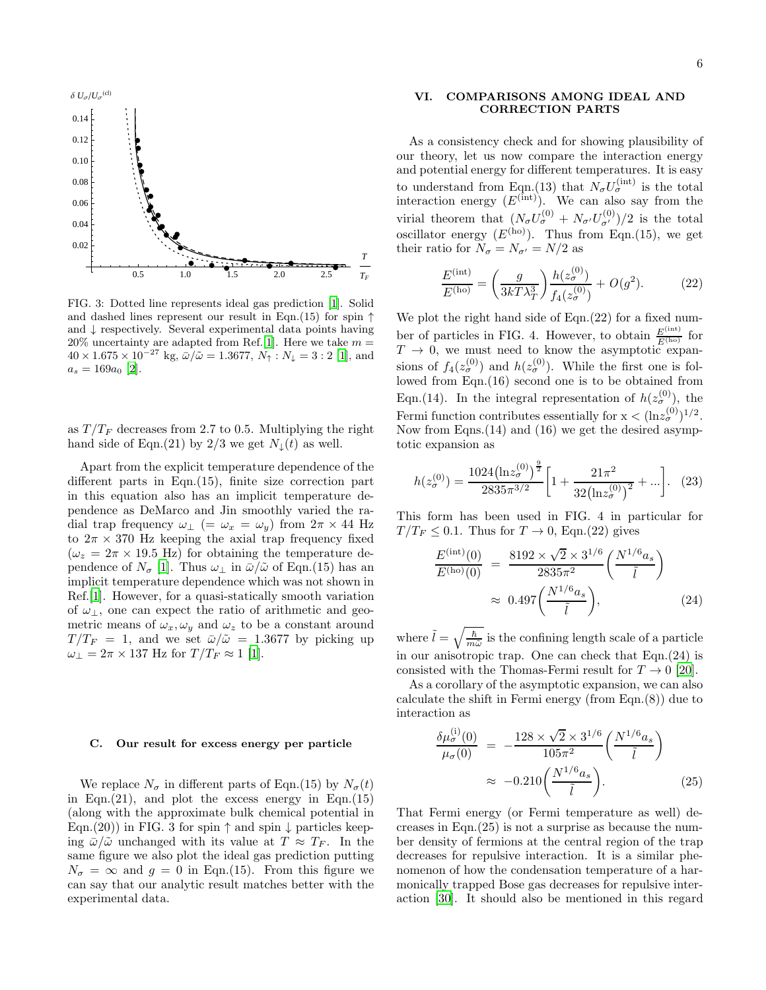

FIG. 3: Dotted line represents ideal gas prediction [\[1](#page-6-0)]. Solid and dashed lines represent our result in Eqn.(15) for spin  $\uparrow$ and ↓ respectively. Several experimental data points having  $20\%$  uncertainty are adapted from Ref. [\[1](#page-6-0)]. Here we take  $m =$  $40 \times 1.675 \times 10^{-27}$  kg,  $\bar{\omega}/\tilde{\omega} = 1.3677$ ,  $N_{\uparrow}$ :  $N_{\downarrow} = 3 : 2 [1]$  $N_{\downarrow} = 3 : 2 [1]$  $N_{\downarrow} = 3 : 2 [1]$ , and  $a_s = 169a_0$  [\[2](#page-6-1)].

as  $T/T_F$  decreases from 2.7 to 0.5. Multiplying the right hand side of Eqn.(21) by 2/3 we get  $N_{\downarrow}(t)$  as well.

Apart from the explicit temperature dependence of the different parts in Eqn.(15), finite size correction part in this equation also has an implicit temperature dependence as DeMarco and Jin smoothly varied the radial trap frequency  $\omega_{\perp}$  (=  $\omega_x = \omega_y$ ) from  $2\pi \times 44$  Hz to  $2\pi \times 370$  Hz keeping the axial trap frequency fixed  $(\omega_z = 2\pi \times 19.5 \text{ Hz})$  for obtaining the temperature dependence of  $N_{\sigma}$  [\[1](#page-6-0)]. Thus  $\omega_{\perp}$  in  $\bar{\omega}/\tilde{\omega}$  of Eqn.(15) has an implicit temperature dependence which was not shown in Ref.[\[1](#page-6-0)]. However, for a quasi-statically smooth variation of  $\omega_{\perp}$ , one can expect the ratio of arithmetic and geometric means of  $\omega_x, \omega_y$  and  $\omega_z$  to be a constant around  $T/T_F = 1$ , and we set  $\bar{\omega}/\tilde{\omega} = 1.3677$  by picking up  $\omega_{\perp} = 2\pi \times 137$  Hz for  $T/T_F \approx 1$  [\[1\]](#page-6-0).

#### C. Our result for excess energy per particle

We replace  $N_{\sigma}$  in different parts of Eqn.(15) by  $N_{\sigma}(t)$ in Eqn. $(21)$ , and plot the excess energy in Eqn. $(15)$ (along with the approximate bulk chemical potential in Eqn.(20)) in FIG. 3 for spin  $\uparrow$  and spin  $\downarrow$  particles keeping  $\bar{\omega}/\tilde{\omega}$  unchanged with its value at  $T \approx T_F$ . In the same figure we also plot the ideal gas prediction putting  $N_{\sigma} = \infty$  and  $g = 0$  in Eqn.(15). From this figure we can say that our analytic result matches better with the experimental data.

# 6

# VI. COMPARISONS AMONG IDEAL AND CORRECTION PARTS

As a consistency check and for showing plausibility of our theory, let us now compare the interaction energy and potential energy for different temperatures. It is easy to understand from Eqn.(13) that  $N_{\sigma}U_{\sigma}^{(\text{int})}$  is the total interaction energy  $(E<sup>(int)</sup>)$ . We can also say from the virial theorem that  $(N_{\sigma}U_{\sigma}^{(0)}+N_{\sigma'}U_{\sigma'}^{(0)})/2$  is the total oscillator energy  $(E^{(ho)})$ . Thus from Eqn.(15), we get their ratio for  $N_{\sigma} = N_{\sigma'} = N/2$  as

$$
\frac{E^{(\text{int})}}{E^{(\text{ho})}} = \left(\frac{g}{3kT\lambda_T^3}\right) \frac{h(z_\sigma^{(0)})}{f_4(z_\sigma^{(0)})} + O(g^2). \tag{22}
$$

We plot the right hand side of Eqn.  $(22)$  for a fixed number of particles in FIG. 4. However, to obtain  $\frac{E^{(\text{int})}}{E^{(\text{ho})}}$  for  $T \rightarrow 0$ , we must need to know the asymptotic expansions of  $f_4(z_\sigma^{(0)})$  and  $h(z_\sigma^{(0)})$ . While the first one is followed from Eqn.(16) second one is to be obtained from Eqn.(14). In the integral representation of  $h(z_{\sigma}^{(0)})$ , the Fermi function contributes essentially for  $x < (\ln z_{\sigma}^{(0)})^{1/2}$ . Now from Eqns.(14) and (16) we get the desired asymptotic expansion as

$$
h(z_{\sigma}^{(0)}) = \frac{1024 \left(\ln z_{\sigma}^{(0)}\right)^{\frac{9}{2}}}{2835\pi^{3/2}} \left[1 + \frac{21\pi^2}{32 \left(\ln z_{\sigma}^{(0)}\right)^2} + \ldots\right].
$$
 (23)

This form has been used in FIG. 4 in particular for  $T/T_F \leq 0.1$ . Thus for  $T \to 0$ , Eqn.(22) gives

$$
\frac{E^{(\text{int})}(0)}{E^{(\text{ho})}(0)} = \frac{8192 \times \sqrt{2} \times 3^{1/6}}{2835\pi^2} \left(\frac{N^{1/6} a_s}{\tilde{l}}\right)
$$
  

$$
\approx 0.497 \left(\frac{N^{1/6} a_s}{\tilde{l}}\right),
$$
 (24)

where  $\tilde{l} = \sqrt{\frac{\hbar}{m}}$  $\frac{h}{m\tilde{\omega}}$  is the confining length scale of a particle in our anisotropic trap. One can check that Eqn.(24) is consisted with the Thomas-Fermi result for  $T \to 0$  [\[20\]](#page-7-9).

As a corollary of the asymptotic expansion, we can also calculate the shift in Fermi energy (from Eqn.(8)) due to interaction as

$$
\frac{\delta \mu_{\sigma}^{(i)}(0)}{\mu_{\sigma}(0)} = -\frac{128 \times \sqrt{2} \times 3^{1/6}}{105\pi^2} \left(\frac{N^{1/6} a_s}{\tilde{l}}\right)
$$

$$
\approx -0.210 \left(\frac{N^{1/6} a_s}{\tilde{l}}\right).
$$
(25)

That Fermi energy (or Fermi temperature as well) decreases in Eqn.(25) is not a surprise as because the number density of fermions at the central region of the trap decreases for repulsive interaction. It is a similar phenomenon of how the condensation temperature of a harmonically trapped Bose gas decreases for repulsive interaction [\[30\]](#page-7-19). It should also be mentioned in this regard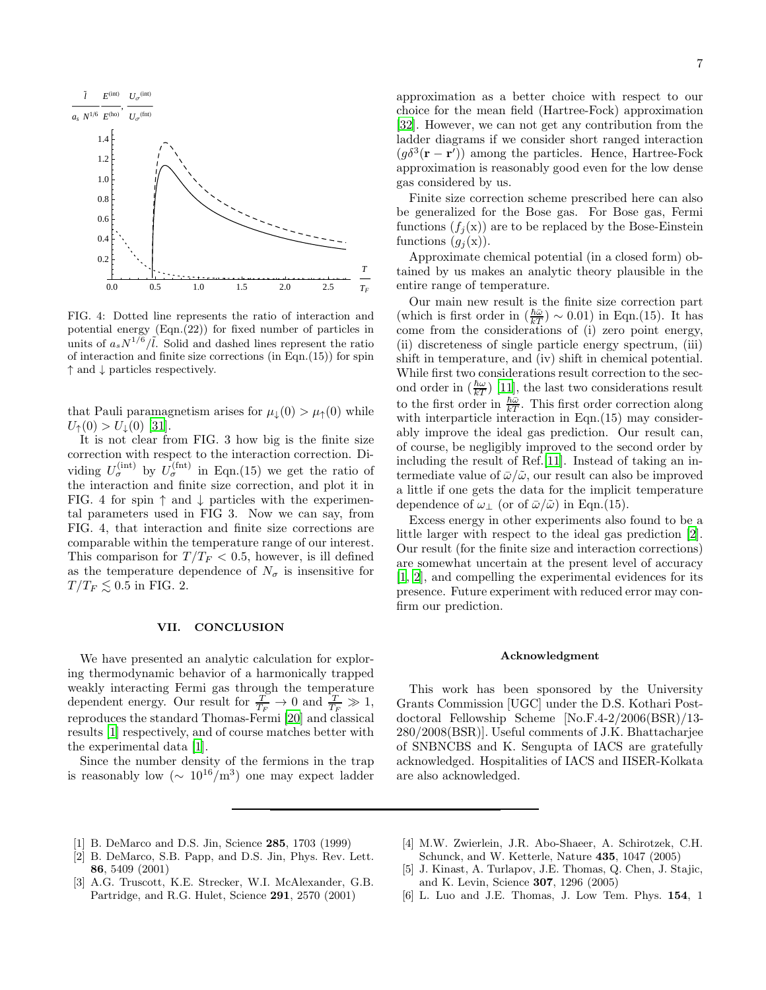

FIG. 4: Dotted line represents the ratio of interaction and potential energy (Eqn.(22)) for fixed number of particles in units of  $a_s N^{1/6}/l$ . Solid and dashed lines represent the ratio of interaction and finite size corrections (in Eqn.(15)) for spin ↑ and ↓ particles respectively.

that Pauli paramagnetism arises for  $\mu_{\downarrow}(0) > \mu_{\uparrow}(0)$  while  $U_{\uparrow}(0) > U_{\perp}(0)$  [\[31\]](#page-7-20).

It is not clear from FIG. 3 how big is the finite size correction with respect to the interaction correction. Dividing  $U_{\sigma}^{(\text{int})}$  by  $U_{\sigma}^{(\text{fnt})}$  in Eqn.(15) we get the ratio of the interaction and finite size correction, and plot it in FIG. 4 for spin  $\uparrow$  and  $\downarrow$  particles with the experimental parameters used in FIG 3. Now we can say, from FIG. 4, that interaction and finite size corrections are comparable within the temperature range of our interest. This comparison for  $T/T_F < 0.5$ , however, is ill defined as the temperature dependence of  $N_{\sigma}$  is insensitive for  $T/T_F \lesssim 0.5$  in FIG. 2.

### VII. CONCLUSION

We have presented an analytic calculation for exploring thermodynamic behavior of a harmonically trapped weakly interacting Fermi gas through the temperature dependent energy. Our result for  $\frac{T}{T_F} \to 0$  and  $\frac{T}{T_F} \gg 1$ , reproduces the standard Thomas-Fermi [\[20\]](#page-7-9) and classical results [\[1\]](#page-6-0) respectively, and of course matches better with the experimental data [\[1](#page-6-0)].

Since the number density of the fermions in the trap is reasonably low  $({\sim 10^{16}/\text{m}^3})$  one may expect ladder approximation as a better choice with respect to our choice for the mean field (Hartree-Fock) approximation [\[32\]](#page-7-21). However, we can not get any contribution from the ladder diagrams if we consider short ranged interaction  $(g\delta^3(\mathbf{r}-\mathbf{r}'))$  among the particles. Hence, Hartree-Fock approximation is reasonably good even for the low dense gas considered by us.

Finite size correction scheme prescribed here can also be generalized for the Bose gas. For Bose gas, Fermi functions  $(f_j(x))$  are to be replaced by the Bose-Einstein functions  $(g_i(\mathbf{x}))$ .

Approximate chemical potential (in a closed form) obtained by us makes an analytic theory plausible in the entire range of temperature.

Our main new result is the finite size correction part (which is first order in  $(\frac{\hbar\bar{\omega}}{kT}) \sim 0.01$ ) in Eqn.(15). It has come from the considerations of (i) zero point energy, (ii) discreteness of single particle energy spectrum, (iii) shift in temperature, and (iv) shift in chemical potential. While first two considerations result correction to the second order in  $\left(\frac{\hbar\omega}{kT}\right)$  [\[11\]](#page-7-4), the last two considerations result to the first order in  $\frac{\hbar\omega}{kT}$ . This first order correction along with interparticle interaction in Eqn. (15) may considerably improve the ideal gas prediction. Our result can, of course, be negligibly improved to the second order by including the result of Ref.[\[11\]](#page-7-4). Instead of taking an intermediate value of  $\bar{\omega}/\tilde{\omega}$ , our result can also be improved a little if one gets the data for the implicit temperature dependence of  $\omega_+$  (or of  $\bar{\omega}/\tilde{\omega}$ ) in Eqn.(15).

Excess energy in other experiments also found to be a little larger with respect to the ideal gas prediction [\[2\]](#page-6-1). Our result (for the finite size and interaction corrections) are somewhat uncertain at the present level of accuracy [\[1,](#page-6-0) [2](#page-6-1)], and compelling the experimental evidences for its presence. Future experiment with reduced error may confirm our prediction.

#### Acknowledgment

This work has been sponsored by the University Grants Commission [UGC] under the D.S. Kothari Postdoctoral Fellowship Scheme [No.F.4-2/2006(BSR)/13- 280/2008(BSR)]. Useful comments of J.K. Bhattacharjee of SNBNCBS and K. Sengupta of IACS are gratefully acknowledged. Hospitalities of IACS and IISER-Kolkata are also acknowledged.

- <span id="page-6-0"></span>[1] B. DeMarco and D.S. Jin, Science 285, 1703 (1999)
- <span id="page-6-1"></span>[2] B. DeMarco, S.B. Papp, and D.S. Jin, Phys. Rev. Lett. 86, 5409 (2001)
- [3] A.G. Truscott, K.E. Strecker, W.I. McAlexander, G.B. Partridge, and R.G. Hulet, Science 291, 2570 (2001)
- [4] M.W. Zwierlein, J.R. Abo-Shaeer, A. Schirotzek, C.H. Schunck, and W. Ketterle, Nature 435, 1047 (2005)
- [5] J. Kinast, A. Turlapov, J.E. Thomas, Q. Chen, J. Stajic, and K. Levin, Science 307, 1296 (2005)
- <span id="page-6-2"></span>[6] L. Luo and J.E. Thomas, J. Low Tem. Phys. 154, 1